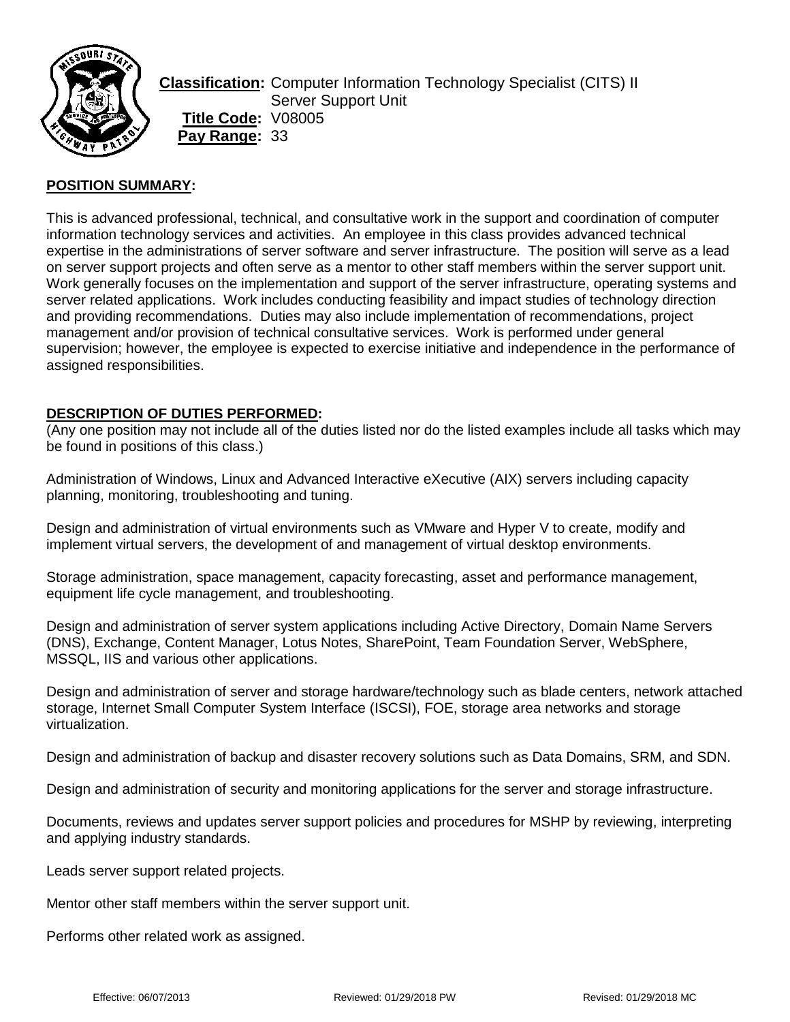

**Classification:** Computer Information Technology Specialist (CITS) II Server Support Unit **Title Code:** V08005 **Pay Range:** 33

## **POSITION SUMMARY:**

This is advanced professional, technical, and consultative work in the support and coordination of computer information technology services and activities. An employee in this class provides advanced technical expertise in the administrations of server software and server infrastructure. The position will serve as a lead on server support projects and often serve as a mentor to other staff members within the server support unit. Work generally focuses on the implementation and support of the server infrastructure, operating systems and server related applications. Work includes conducting feasibility and impact studies of technology direction and providing recommendations. Duties may also include implementation of recommendations, project management and/or provision of technical consultative services. Work is performed under general supervision; however, the employee is expected to exercise initiative and independence in the performance of assigned responsibilities.

### **DESCRIPTION OF DUTIES PERFORMED:**

(Any one position may not include all of the duties listed nor do the listed examples include all tasks which may be found in positions of this class.)

Administration of Windows, Linux and Advanced Interactive eXecutive (AIX) servers including capacity planning, monitoring, troubleshooting and tuning.

Design and administration of virtual environments such as VMware and Hyper V to create, modify and implement virtual servers, the development of and management of virtual desktop environments.

Storage administration, space management, capacity forecasting, asset and performance management, equipment life cycle management, and troubleshooting.

Design and administration of server system applications including Active Directory, Domain Name Servers (DNS), Exchange, Content Manager, Lotus Notes, SharePoint, Team Foundation Server, WebSphere, MSSQL, IIS and various other applications.

Design and administration of server and storage hardware/technology such as blade centers, network attached storage, Internet Small Computer System Interface (ISCSI), FOE, storage area networks and storage virtualization.

Design and administration of backup and disaster recovery solutions such as Data Domains, SRM, and SDN.

Design and administration of security and monitoring applications for the server and storage infrastructure.

Documents, reviews and updates server support policies and procedures for MSHP by reviewing, interpreting and applying industry standards.

Leads server support related projects.

Mentor other staff members within the server support unit.

Performs other related work as assigned.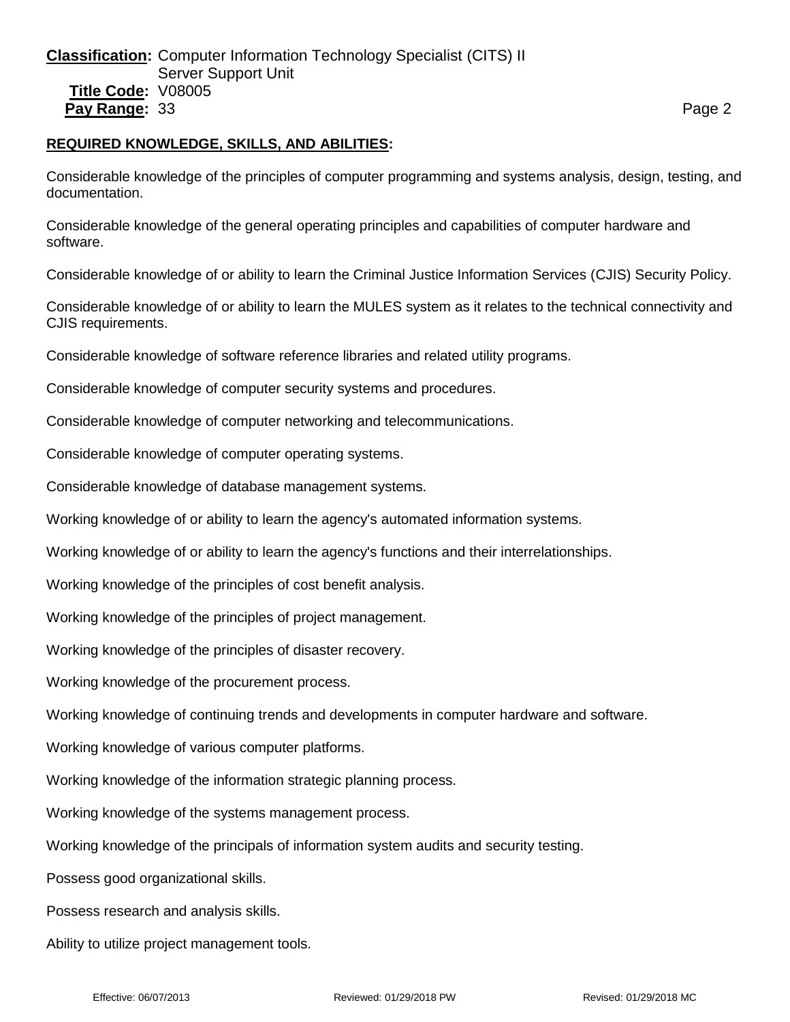## **REQUIRED KNOWLEDGE, SKILLS, AND ABILITIES:**

Considerable knowledge of the principles of computer programming and systems analysis, design, testing, and documentation.

Considerable knowledge of the general operating principles and capabilities of computer hardware and software.

Considerable knowledge of or ability to learn the Criminal Justice Information Services (CJIS) Security Policy.

Considerable knowledge of or ability to learn the MULES system as it relates to the technical connectivity and CJIS requirements.

Considerable knowledge of software reference libraries and related utility programs.

Considerable knowledge of computer security systems and procedures.

Considerable knowledge of computer networking and telecommunications.

Considerable knowledge of computer operating systems.

Considerable knowledge of database management systems.

Working knowledge of or ability to learn the agency's automated information systems.

Working knowledge of or ability to learn the agency's functions and their interrelationships.

Working knowledge of the principles of cost benefit analysis.

Working knowledge of the principles of project management.

Working knowledge of the principles of disaster recovery.

Working knowledge of the procurement process.

Working knowledge of continuing trends and developments in computer hardware and software.

Working knowledge of various computer platforms.

Working knowledge of the information strategic planning process.

Working knowledge of the systems management process.

Working knowledge of the principals of information system audits and security testing.

Possess good organizational skills.

Possess research and analysis skills.

Ability to utilize project management tools.